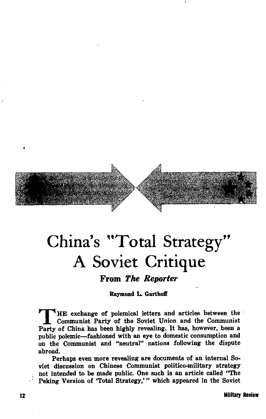

# China's "Total Strategy" A Soviet Critique

*From The Reporter* 

Raymond L. Garthoff

THE exchange of polemical letters and articles between the Communist Party of the Soviet Union and the Communist Party of China has been highly revealing. It has, however, been a public polemic-fashioned with an eye to domestic consumption and on the Communist and "neutral" nations following the dispute abroad.

Perhaps even more revealing are documents of an internal Soviet discussion on Chinese Communist politico-military strategy ; not intended to be made public. One such is an article called "The .' Peking Version of 'Total Strategy:" which appeared in the Soviet

,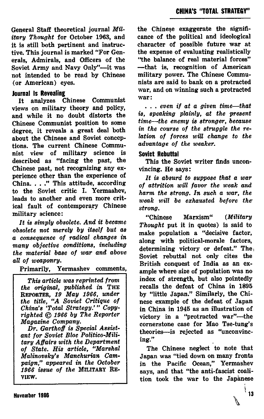General Staff theoretical journal Mil*itary Thought* for October 1963, and it is still both pertinent and instructive. This journal is marked "For Generals. Admirals, and Officers of the Soviet Army and Navy Only"-it was not intended to be read by Chinese (or American) eyes.

#### **Journal Is Revealing**

It analyzes Chinese Communist views on military theory and policy. and while it no doubt distorts the Chinese Communist position to some degree, it reveals a great deal both about the Chinese and Soviet conceptions. The current Chinese Communist view of military science is described as "facing the past, the Chinese past, not recognizing any experience other than the experience of China. . . ." This attitude, according to the Soviet critic I. Yermashev, leads to another and even more critical fault of contemporary Chinese military science:

It is simply obsolete. And it became obsolete not merely by itself but as a consequence of radical changes in many objective conditions, including the material base of war and above all of weaponry.

Primarily. Yermashev comments.

This article was reprinted from the original, published in THE REPORTER, 19 May 1966, under<br>the title, "A Soviet Critique of China's 'Total Strategy.'" Copyrighted  $\odot$  1966 by The Reporter Magazine Company.

Dr. Garthoff is Special Assistant for Soviet Bloc Politico-Military Affairs with the Department of State. His article, "Marshal Malinovsky's Manchurian Campaign," appeared in the October 1966 issue of the MILITARY RE-VIEW.

the Chinese exaggerate the significance of the political and ideological character of possible future war at the expense of evaluating realistically "the balance of real material forces" -that is, recognition of American military power. The Chinese Communists are said to bank on a protracted war, and on winning such a protracted war:

... even if at a given time-that is, speaking plainly, at the present time--the enemy is stronger, because in the course of the struggle the relation of forces will change to the advantage of the weaker.

## Soviet Rebuttal

This the Soviet writer finds unconvincing. He says:

It is absurd to suppose that a war of attrition will favor the weak and harm the strong. In such a war, the weak will be exhausted before the strong.

"Chinese Marxism" (Militaru Thought put it in quotes) is said to make population a "decisive factor. along with political-morale factors, determining victory or defeat." The Soviet rebuttal not only cites the British conquest of India as an example where size of population was no index of strength, but also pointedly recalls the defeat of China in 1895 by "little Japan." Similarly, the Chinese example of the defeat of Japan in China in 1945 as an illustration of victory in a "protracted war"---the cornerstone case for Mao Tse-tung's theories-is rejected as "unconvincing."

The Chinese neglect to note that Japan was "tied down on many fronts in the Pacific Ocean," Yermashev savs, and that "the anti-fascist coalition took the war to the Japanese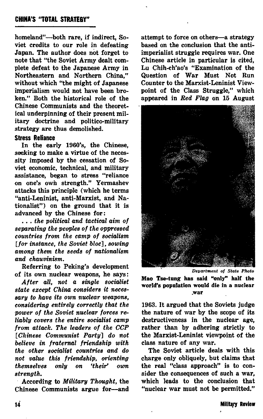## CHINA'S "TOTAL STRATEGY"

homeland"-both rare, if indirect, Soviet credits to our role in defeating Japan. The author does not forget to note that "the Soviet Army dealt complete defeat to the Japanese Army in Northeastern and Northern China." without which "the might of Japanese imperialism would not have been broken." Both the historical role of the Chinese Communists and the theoretical underpinning of their present military doctrine and politico-military strategy are thus demolished.

#### **Stress Reliance**

In the early 1960's, the Chinese, seeking to make a virtue of the necessity imposed by the cessation of Soviet economic, technical, and military assistance, began to stress "reliance on one's own strength." Yermashev attacks this principle (which he terms "anti-Leninist, anti-Marxist, and Nationalist") on the ground that it is advanced by the Chinese for:

... the political and tactical aim of separating the peoples of the oppressed countries from the camp of socialism [for instance, the Soviet bloc], sowing among them the seeds of nationalism and chauvinism.

Referring to Peking's development of its own nuclear weapons, he says:

After all, not a single socialist state except China considers it necessary to have its own nuclear weapons. considering entirely correctly that the power of the Soviet nuclear forces reliably covers the entire socialist camp from attack. The leaders of the CCP [Chinese Communist Party] do not believe in fraternal friendship with the other socialist countries and do not value this friendship, orienting themselves 'their' only on own strenath.

According to Military Thought, the Chinese Communists argue for-and attempt to force on others-a strategy based on the conclusion that the antiimperialist struggle requires war. One Chinese article in particular is cited, Lu Chih-ch'ao's "Examination of the Question of War Must Not Run Counter to the Marxist-Leninist Viewpoint of the Class Struggle." which appeared in Red Flag on 15 August



Department of State Photo Mao Tse-tung has said "only" half the world's population would die in a nuclear war

1963. It argued that the Soviets judge the nature of war by the scope of its destructiveness in the nuclear age. rather than by adhering strictly to the Marxist-Leninist viewpoint of the class nature of any war.

The Soviet article deals with this charge only obliquely, but claims that the real "class approach" is to consider the consequences of such a war. which leads to the conclusion that "nuclear war must not be permitted."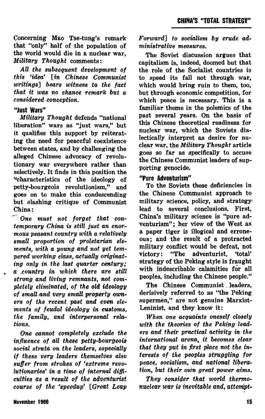Concerning Mao Tse-tung's remark that "only" half of the nonulation of the world would die in a nuclear war. Military Thought comments:

All the subsequent development of this 'idea' [in Chinese Communist writings] bears witness to the fact that it was no chance remark but a considered conception.

#### "lust Wars"

Military Thought defends "national liberation" wars as "just wars." but it qualifies this support by reiterating the need for peaceful coexistence between states, and by challenging the alleged Chinese advocacy of revolutionary war everywhere rather than selectively. It finds in this position the "characteristics of the ideology of petty-bourgeois revolutionism." and goes on to make this condescending but slashing critique of Communist China:

One must not forget that contemporary China is still just an enormous peasant country with a relatively small proportion of proletarian elements, with a young and not yet tempered working class. actually originating only in the last quarter century: a country in which there are still strong and living remnants, not completely eliminated, of the old ideology of small and very small property owners of the recent past and even elements of feudal ideology in customs. the family, and interpersonal relations.

One cannot completely exclude the influence of all these petty-bourgeois social strata on the leaders, especially if these very leaders themselves also suffer from strokes of 'extreme revolutionaries' in a time of internal difficulties as a result of the adventurist course of the 'speedup' [Great Leap Forward] to socialism by crude administrative measures.

The Soviet discussion argues that capitalism is, indeed, doomed but that the role of the Socialist countries is to speed its fall not through war. which would bring ruin to them, too. but through economic competition, for which peace is necessary. This is a familiar theme in the nolemics of the past several years. On the basis of this Chinese theoretical readiness for nuclear war, which the Soviets dialectically interpret as desire for nuclear war, the Military Thought article goes so far as specifically to accuse the Chinese Communist leaders of sunporting genocide.

#### "Pure Adventurism"

To the Soviets these deficiencies in the Chinese Communist approach to military science, policy, and strategylead to several conclusions. First. China's military science is "pure adventurism"; her view of the West as a paper tiger is illogical and erroneous: and the result of a protracted military conflict would be defeat. not victory: "The adventurist. 'total' strategy of the Peking style is fraught with indescribable calamities for all peoples, including the Chinese people."

The Chinese Communist leaders. derisively referred to as "the Peking supermen," are not genuine Marxist-Leninist, and they know it:

When one acquaints oneself closely with the theories of the Peking leaders and their practical activity in the international arena, it becomes clear that they put in first place not the interests of the peoples struggling for peace, socialism, and national liberation, but their own great power aims.

They consider that world thermonuclear war is inevitable and, attempt-